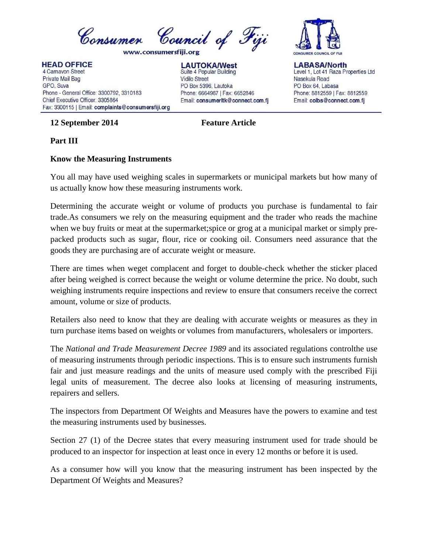

**HEAD OFFICE** 

4 Carnavon Street Private Mail Bag GPO, Suva Phone - General Office: 3300792, 3310183 Chief Executive Officer: 3305864 Fax: 3300115 | Email: complaints@consumersfiji.org

## **12 September 2014 Feature Article**

**LAUTOKA/West** Suite 4 Popular Building **Vidilo Street** PO Box 5396, Lautoka Phone: 6664987 | Fax: 6652846 Email: consumerItk@connect.com.fj



**LABASA/North** Level 1, Lot 41 Raza Properties Ltd Nasekula Road PO Box 64, Labasa Phone: 8812559 | Fax: 8812559 Email: colbs@connect.com.fj

## **Part III**

## **Know the Measuring Instruments**

You all may have used weighing scales in supermarkets or municipal markets but how many of us actually know how these measuring instruments work.

Determining the accurate weight or volume of products you purchase is fundamental to fair trade.As consumers we rely on the measuring equipment and the trader who reads the machine when we buy fruits or meat at the supermarket; spice or grog at a municipal market or simply prepacked products such as sugar, flour, rice or cooking oil. Consumers need assurance that the goods they are purchasing are of accurate weight or measure.

There are times when weget complacent and forget to double-check whether the sticker placed after being weighed is correct because the weight or volume determine the price. No doubt, such weighing instruments require inspections and review to ensure that consumers receive the correct amount, volume or size of products.

Retailers also need to know that they are dealing with accurate weights or measures as they in turn purchase items based on weights or volumes from manufacturers, wholesalers or importers.

The *National and Trade Measurement Decree 1989* and its associated regulations controlthe use of measuring instruments through periodic inspections. This is to ensure such instruments furnish fair and just measure readings and the units of measure used comply with the prescribed Fiji legal units of measurement. The decree also looks at licensing of measuring instruments, repairers and sellers.

The inspectors from Department Of Weights and Measures have the powers to examine and test the measuring instruments used by businesses.

Section 27 (1) of the Decree states that every measuring instrument used for trade should be produced to an inspector for inspection at least once in every 12 months or before it is used.

As a consumer how will you know that the measuring instrument has been inspected by the Department Of Weights and Measures?